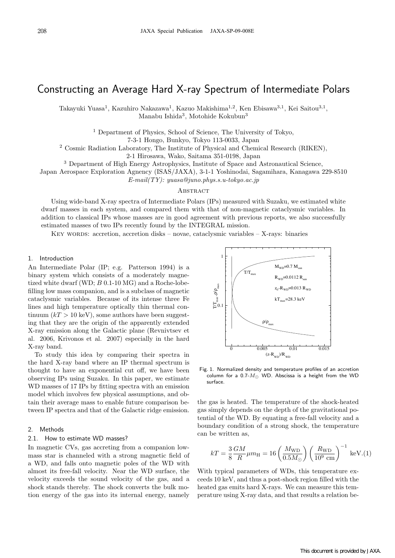# Constructing an Average Hard X-ray Spectrum of Intermediate Polars

Takayuki Yuasa<sup>1</sup>, Kazuhiro Nakazawa<sup>1</sup>, Kazuo Makishima<sup>1</sup>*,*<sup>2</sup>, Ken Ebisawa<sup>3</sup>*,*<sup>1</sup>, Kei Saitou<sup>3</sup>*,*<sup>1</sup>, Manabu Ishida<sup>3</sup>, Motohide Kokubun<sup>3</sup>

<sup>1</sup> Department of Physics, School of Science, The University of Tokyo,

7-3-1 Hongo, Bunkyo, Tokyo 113-0033, Japan

<sup>2</sup> Cosmic Radiation Laboratory, The Institute of Physical and Chemical Research (RIKEN),

2-1 Hirosawa, Wako, Saitama 351-0198, Japan

<sup>3</sup> Department of High Energy Astrophysics, Institute of Space and Astronautical Science,

Japan Aerospace Exploration Agnency (ISAS/JAXA), 3-1-1 Yoshinodai, Sagamihara, Kanagawa 229-8510

*E-mail(TY): yuasa@juno.phys.s.u-tokyo.ac.jp*

#### **ABSTRACT**

Using wide-band X-ray spectra of Intermediate Polars (IPs) measured with Suzaku, we estimated white dwarf masses in each system, and compared them with that of non-magnetic cataclysmic variables. In addition to classical IPs whose masses are in good agreement with previous reports, we also successfully estimated masses of two IPs recently found by the INTEGRAL mission.

KEY WORDS: accretion, accretion disks – novae, cataclysmic variables – X-rays: binaries

### 1. Introduction

An Intermediate Polar (IP; e.g. Patterson 1994) is a binary system which consists of a moderately magnetized white dwarf (WD; *B* 0.1-10 MG) and a Roche-lobefilling low mass companion, and is a subclass of magnetic cataclysmic variables. Because of its intense three Fe lines and high temperature optically thin thermal continuum  $(kT > 10 \text{ keV})$ , some authors have been suggesting that they are the origin of the apparently extended X-ray emission along the Galactic plane (Revnivtsev et al. 2006, Krivonos et al. 2007) especially in the hard X-ray band.

To study this idea by comparing their spectra in the hard X-ray band where an IP thermal spectrum is thought to have an exponential cut off, we have been observing IPs using Suzaku. In this paper, we estimate WD masses of 17 IPs by fitting spectra with an emission model which involves few physical assumptions, and obtain their average mass to enable future comparison between IP spectra and that of the Galactic ridge emission.

#### 2. Methods

#### 2.1. How to estimate WD masses?

In magnetic CVs, gas accreting from a companion lowmass star is channeled with a strong magnetic field of a WD, and falls onto magnetic poles of the WD with almost its free-fall velocity. Near the WD surface, the velocity exceeds the sound velocity of the gas, and a shock stands thereby. The shock converts the bulk motion energy of the gas into its internal energy, namely



Fig. 1. Normalized density and temperature profiles of an accretion column for a 0.7-*M<sup>⊙</sup>* WD. Abscissa is a height from the WD surface.

the gas is heated. The temperature of the shock-heated gas simply depends on the depth of the gravitational potential of the WD. By equating a free-fall velocity and a boundary condition of a strong shock, the temperature can be written as,

$$
kT = \frac{3}{8} \frac{GM}{R} \mu m_{\rm H} = 16 \left( \frac{M_{\rm WD}}{0.5 M_{\odot}} \right) \left( \frac{R_{\rm WD}}{10^9 \text{ cm}} \right)^{-1} \text{ keV.(1)}
$$

With typical parameters of WDs, this temperature exceeds 10 keV, and thus a post-shock region filled with the heated gas emits hard X-rays. We can measure this temperature using X-ray data, and that results a relation be